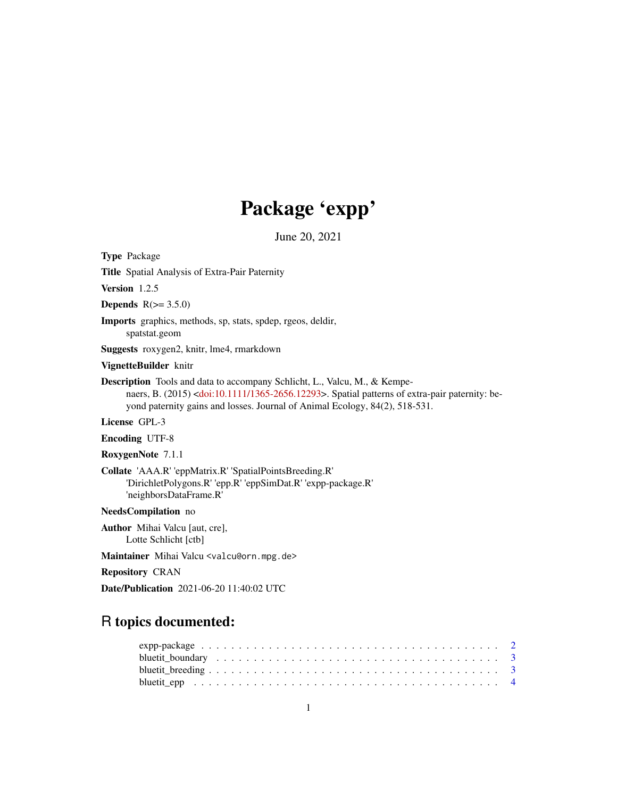# Package 'expp'

June 20, 2021

<span id="page-0-0"></span>Type Package

Title Spatial Analysis of Extra-Pair Paternity

Version 1.2.5

Depends  $R(>= 3.5.0)$ 

Imports graphics, methods, sp, stats, spdep, rgeos, deldir,

spatstat.geom

Suggests roxygen2, knitr, lme4, rmarkdown

VignetteBuilder knitr

Description Tools and data to accompany Schlicht, L., Valcu, M., & Kempenaers, B. (2015) [<doi:10.1111/1365-2656.12293>](https://doi.org/10.1111/1365-2656.12293). Spatial patterns of extra-pair paternity: beyond paternity gains and losses. Journal of Animal Ecology, 84(2), 518-531.

License GPL-3

Encoding UTF-8

RoxygenNote 7.1.1

Collate 'AAA.R' 'eppMatrix.R' 'SpatialPointsBreeding.R' 'DirichletPolygons.R' 'epp.R' 'eppSimDat.R' 'expp-package.R' 'neighborsDataFrame.R'

NeedsCompilation no

Author Mihai Valcu [aut, cre], Lotte Schlicht [ctb]

Maintainer Mihai Valcu <valcu@orn.mpg.de>

Repository CRAN

Date/Publication 2021-06-20 11:40:02 UTC

## R topics documented: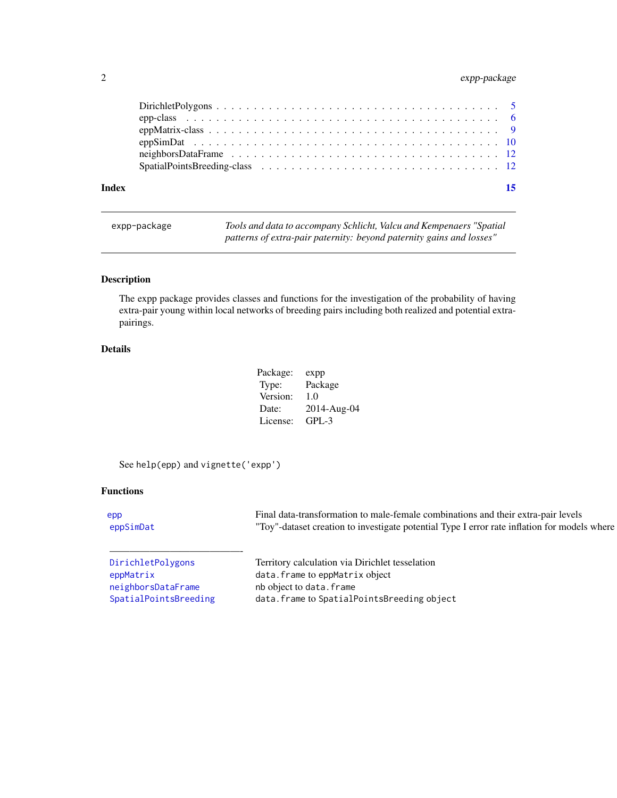### <span id="page-1-0"></span>2 expp-package

| Index | 15 |
|-------|----|
|       |    |
|       |    |
|       |    |
|       |    |
|       |    |
|       |    |

expp-package *Tools and data to accompany Schlicht, Valcu and Kempenaers "Spatial patterns of extra-pair paternity: beyond paternity gains and losses"*

#### Description

The expp package provides classes and functions for the investigation of the probability of having extra-pair young within local networks of breeding pairs including both realized and potential extrapairings.

#### Details

| Package: | expp        |
|----------|-------------|
| Type:    | Package     |
| Version: | 1.0         |
| Date:    | 2014-Aug-04 |
| License: | GPL-3       |

See help(epp) and vignette('expp')

#### Functions

| epp      | I data-transformation to male-female combinations and their extra-pair levels<br>Final                         |
|----------|----------------------------------------------------------------------------------------------------------------|
| eppSimDa | $T_{\rm OV}$ .<br>t creation to investigate potential Type I error rate inflation for models where<br>-dataset |

[neighborsDataFrame](#page-11-1) nb object to data.frame

—————————————-

[DirichletPolygons](#page-4-1) Territory calculation via Dirichlet tesselation [eppMatrix](#page-8-1) data.frame to eppMatrix object [SpatialPointsBreeding](#page-11-2) data.frame to SpatialPointsBreeding object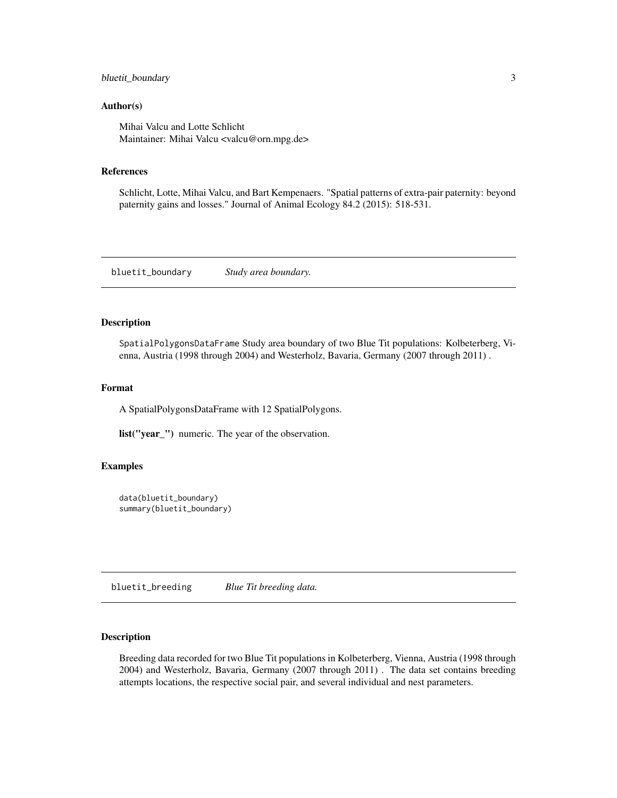#### <span id="page-2-0"></span>bluetit\_boundary 3

#### Author(s)

Mihai Valcu and Lotte Schlicht Maintainer: Mihai Valcu <valcu@orn.mpg.de>

#### References

Schlicht, Lotte, Mihai Valcu, and Bart Kempenaers. "Spatial patterns of extra-pair paternity: beyond paternity gains and losses." Journal of Animal Ecology 84.2 (2015): 518-531.

bluetit\_boundary *Study area boundary.*

#### Description

SpatialPolygonsDataFrame Study area boundary of two Blue Tit populations: Kolbeterberg, Vienna, Austria (1998 through 2004) and Westerholz, Bavaria, Germany (2007 through 2011) .

#### Format

A SpatialPolygonsDataFrame with 12 SpatialPolygons.

list("year\_") numeric. The year of the observation.

#### Examples

```
data(bluetit_boundary)
summary(bluetit_boundary)
```
bluetit\_breeding *Blue Tit breeding data.*

#### Description

Breeding data recorded for two Blue Tit populations in Kolbeterberg, Vienna, Austria (1998 through 2004) and Westerholz, Bavaria, Germany (2007 through 2011) . The data set contains breeding attempts locations, the respective social pair, and several individual and nest parameters.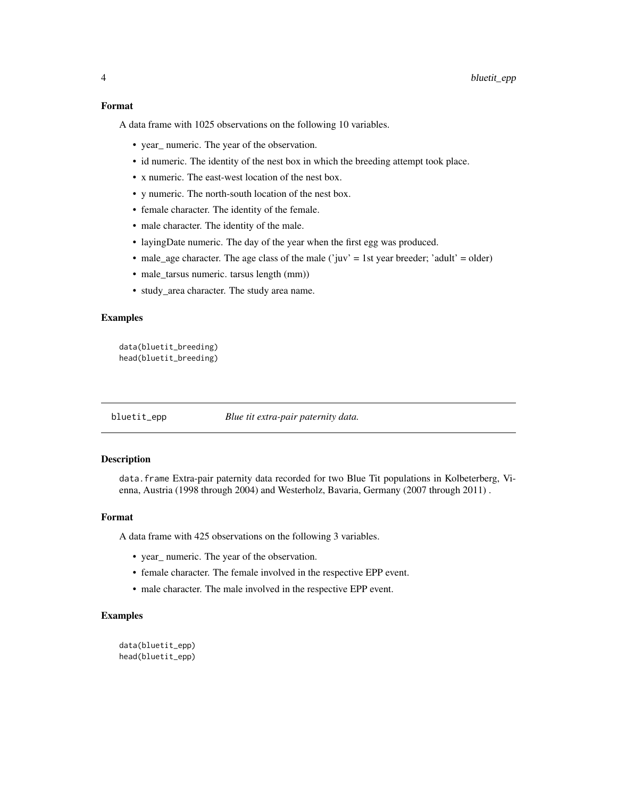#### <span id="page-3-0"></span>Format

A data frame with 1025 observations on the following 10 variables.

- year\_ numeric. The year of the observation.
- id numeric. The identity of the nest box in which the breeding attempt took place.
- x numeric. The east-west location of the nest box.
- y numeric. The north-south location of the nest box.
- female character. The identity of the female.
- male character. The identity of the male.
- layingDate numeric. The day of the year when the first egg was produced.
- male\_age character. The age class of the male ('juv' = 1st year breeder; 'adult' = older)
- male\_tarsus numeric. tarsus length (mm))
- study\_area character. The study area name.

#### Examples

data(bluetit\_breeding) head(bluetit\_breeding)

bluetit\_epp *Blue tit extra-pair paternity data.*

#### Description

data.frame Extra-pair paternity data recorded for two Blue Tit populations in Kolbeterberg, Vienna, Austria (1998 through 2004) and Westerholz, Bavaria, Germany (2007 through 2011) .

#### Format

A data frame with 425 observations on the following 3 variables.

- year\_ numeric. The year of the observation.
- female character. The female involved in the respective EPP event.
- male character. The male involved in the respective EPP event.

#### Examples

data(bluetit\_epp) head(bluetit\_epp)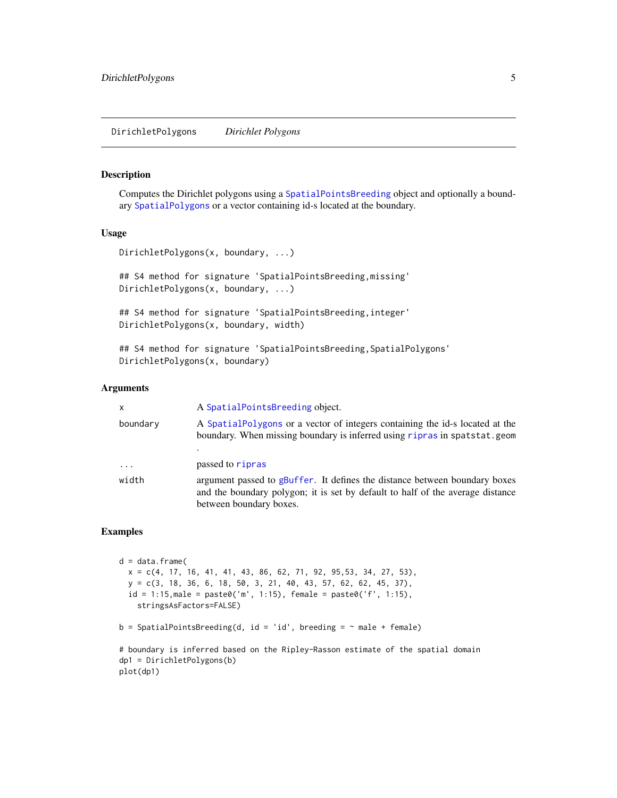#### <span id="page-4-1"></span><span id="page-4-0"></span>Description

Computes the Dirichlet polygons using a [SpatialPointsBreeding](#page-11-2) object and optionally a boundary [SpatialPolygons](#page-0-0) or a vector containing id-s located at the boundary.

#### Usage

```
DirichletPolygons(x, boundary, ...)
```
## S4 method for signature 'SpatialPointsBreeding,missing' DirichletPolygons(x, boundary, ...)

```
## S4 method for signature 'SpatialPointsBreeding, integer'
DirichletPolygons(x, boundary, width)
```

```
## S4 method for signature 'SpatialPointsBreeding, SpatialPolygons'
DirichletPolygons(x, boundary)
```
#### Arguments

| $\mathsf{x}$ | A SpatialPointsBreeding object.                                                                                                                                                         |
|--------------|-----------------------------------------------------------------------------------------------------------------------------------------------------------------------------------------|
| boundary     | A Spatial Polygons or a vector of integers containing the id-s located at the<br>boundary. When missing boundary is inferred using ripras in spatstat.geom                              |
|              |                                                                                                                                                                                         |
| $\cdots$     | passed to ripras                                                                                                                                                                        |
| width        | argument passed to gBuffer. It defines the distance between boundary boxes<br>and the boundary polygon; it is set by default to half of the average distance<br>between boundary boxes. |

#### Examples

```
d = data frame(x = c(4, 17, 16, 41, 41, 43, 86, 62, 71, 92, 95, 53, 34, 27, 53),y = c(3, 18, 36, 6, 18, 50, 3, 21, 40, 43, 57, 62, 62, 45, 37),
 id = 1:15, male = paste0('m', 1:15), female = paste0('f', 1:15),
    stringsAsFactors=FALSE)
b = SpatialPointsBreeding(d, id = 'id', breeding = "male + female)# boundary is inferred based on the Ripley-Rasson estimate of the spatial domain
dp1 = DirichletPolygons(b)
plot(dp1)
```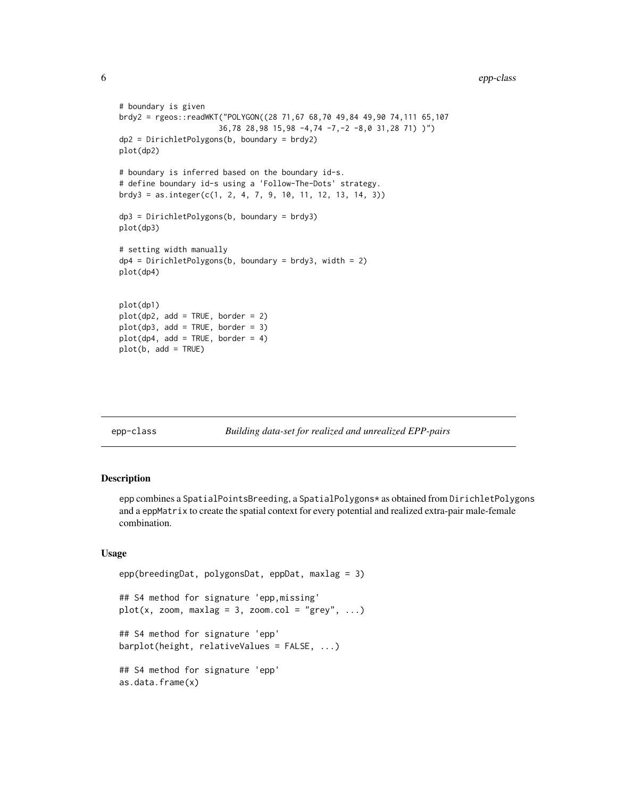```
6 epp-class
```

```
# boundary is given
brdy2 = rgeos::readWKT("POLYGON((28 71,67 68,70 49,84 49,90 74,111 65,107
                      36,78 28,98 15,98 -4,74 -7,-2 -8,0 31,28 71) )")
dp2 = DirichletPolygons(b, boundary = brdy2)
plot(dp2)
# boundary is inferred based on the boundary id-s.
# define boundary id-s using a 'Follow-The-Dots' strategy.
brdy3 = as.integer(c(1, 2, 4, 7, 9, 10, 11, 12, 13, 14, 3))
dp3 = DirichletPolygons(b, boundary = brdy3)
plot(dp3)
# setting width manually
dp4 = DirichletPolygons(b, boundary = brdy3, width = 2)plot(dp4)
plot(dp1)
plot(dp2, add = TRUE, border = 2)plot(dp3, add = TRUE, border = 3)plot(dp4, add = TRUE, border = 4)plot(b, add = TRUE)
```
epp-class *Building data-set for realized and unrealized EPP-pairs*

#### <span id="page-5-1"></span>Description

epp combines a SpatialPointsBreeding, a SpatialPolygons\* as obtained from DirichletPolygons and a eppMatrix to create the spatial context for every potential and realized extra-pair male-female combination.

#### Usage

```
epp(breedingDat, polygonsDat, eppDat, maxlag = 3)
## S4 method for signature 'epp,missing'
plot(x, zoom, maxlag = 3, zoom.col = "grey", ...)## S4 method for signature 'epp'
barplot(height, relativeValues = FALSE, ...)
## S4 method for signature 'epp'
as.data.frame(x)
```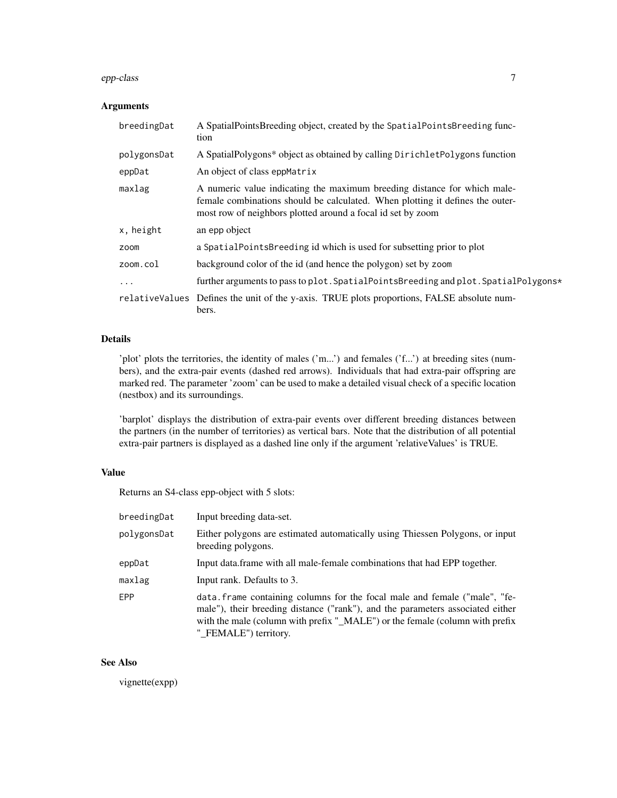#### epp-class 7

#### Arguments

| breedingDat | A SpatialPointsBreeding object, created by the SpatialPointsBreeding func-<br>tion                                                                                                                                       |
|-------------|--------------------------------------------------------------------------------------------------------------------------------------------------------------------------------------------------------------------------|
| polygonsDat | A SpatialPolygons* object as obtained by calling DirichletPolygons function                                                                                                                                              |
| eppDat      | An object of class eppMatrix                                                                                                                                                                                             |
| maxlag      | A numeric value indicating the maximum breeding distance for which male-<br>female combinations should be calculated. When plotting it defines the outer-<br>most row of neighbors plotted around a focal id set by zoom |
| x, height   | an epp object                                                                                                                                                                                                            |
| zoom        | a SpatialPointsBreeding id which is used for subsetting prior to plot                                                                                                                                                    |
| zoom.col    | background color of the id (and hence the polygon) set by zoom                                                                                                                                                           |
| $\cdots$    | further arguments to pass to plot. SpatialPointsBreeding and plot. SpatialPolygons*                                                                                                                                      |
|             | relativeValues Defines the unit of the y-axis. TRUE plots proportions, FALSE absolute num-<br>bers.                                                                                                                      |

#### Details

'plot' plots the territories, the identity of males ('m...') and females ('f...') at breeding sites (numbers), and the extra-pair events (dashed red arrows). Individuals that had extra-pair offspring are marked red. The parameter 'zoom' can be used to make a detailed visual check of a specific location (nestbox) and its surroundings.

'barplot' displays the distribution of extra-pair events over different breeding distances between the partners (in the number of territories) as vertical bars. Note that the distribution of all potential extra-pair partners is displayed as a dashed line only if the argument 'relativeValues' is TRUE.

#### Value

Returns an S4-class epp-object with 5 slots:

| breedingDat | Input breeding data-set.                                                                                                                                                                                                                                              |
|-------------|-----------------------------------------------------------------------------------------------------------------------------------------------------------------------------------------------------------------------------------------------------------------------|
| polygonsDat | Either polygons are estimated automatically using Thiessen Polygons, or input<br>breeding polygons.                                                                                                                                                                   |
| eppDat      | Input data. frame with all male-female combinations that had EPP together.                                                                                                                                                                                            |
| maxlag      | Input rank. Defaults to 3.                                                                                                                                                                                                                                            |
| <b>FPP</b>  | data. frame containing columns for the focal male and female ("male", "fe-<br>male"), their breeding distance ("rank"), and the parameters associated either<br>with the male (column with prefix "_MALE") or the female (column with prefix<br>"_FEMALE") territory. |

#### See Also

vignette(expp)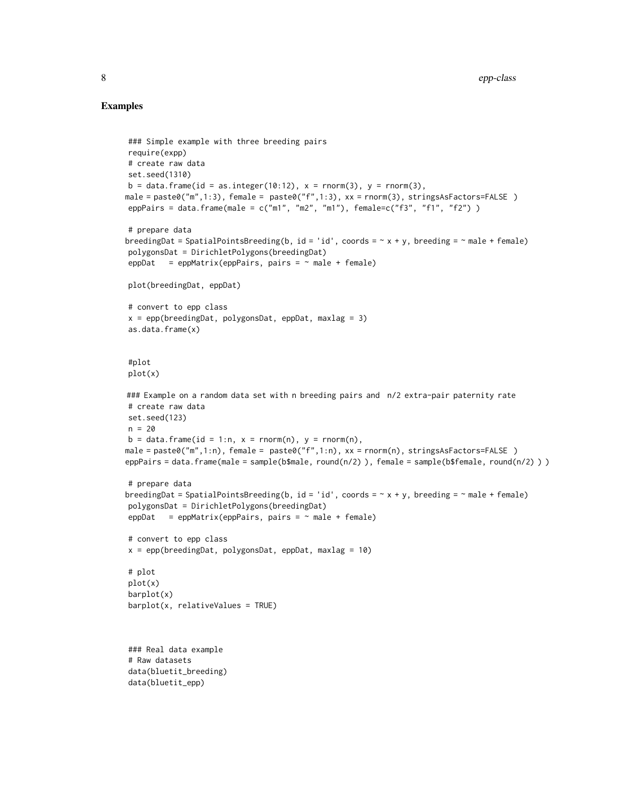#### Examples

```
### Simple example with three breeding pairs
require(expp)
# create raw data
set.seed(1310)
b = data. frame(id = as.integer(10:12), x = rnorm(3), y = rnorm(3),
male = paste0("m",1:3), female = paste0("f",1:3), xx = rnorm(3), stringsAsFactors=FALSE )
eppPairs = data.frame(male = c("m1", "m2", "m1"), female=c("f3", "f1", "f2") )
# prepare data
breedingDat = SpatialPointsBreeding(b, id = 'id', coords = \sim x + y, breeding = \sim male + female)
polygonsDat = DirichletPolygons(breedingDat)
eppDat = eppMatrix(eppPairs, pairs = \sim male + female)
plot(breedingDat, eppDat)
# convert to epp class
x = \text{epp}(\text{breedingData}, \text{polygonsData}, \text{eppData}, \text{maxlag} = 3)as.data.frame(x)
#plot
plot(x)
### Example on a random data set with n breeding pairs and n/2 extra-pair paternity rate
# create raw data
set.seed(123)
n = 20b = data-frame(id = 1:n, x = rnorm(n), y = rnorm(n),male = paste0("m",1:n), female = paste0("f",1:n), xx = rnorm(n), stringsAsFactors=FALSE )
eppPairs = data.frame(male = sample(b$male, round(n/2) ), female = sample(b$female, round(n/2) ) )
# prepare data
breedingDat = SpatialPointsBreeding(b, id = 'id', coords = \sim x + y, breeding = \sim male + female)
polygonsDat = DirichletPolygons(breedingDat)
eppData = epMatrix(eppPairs, pairs = ~male + female)# convert to epp class
x = ep(p(\text{breedingData}, polygonsData, eppData, maxlag = 10))# plot
plot(x)
barplot(x)
barplot(x, relativeValues = TRUE)
### Real data example
# Raw datasets
data(bluetit_breeding)
data(bluetit_epp)
```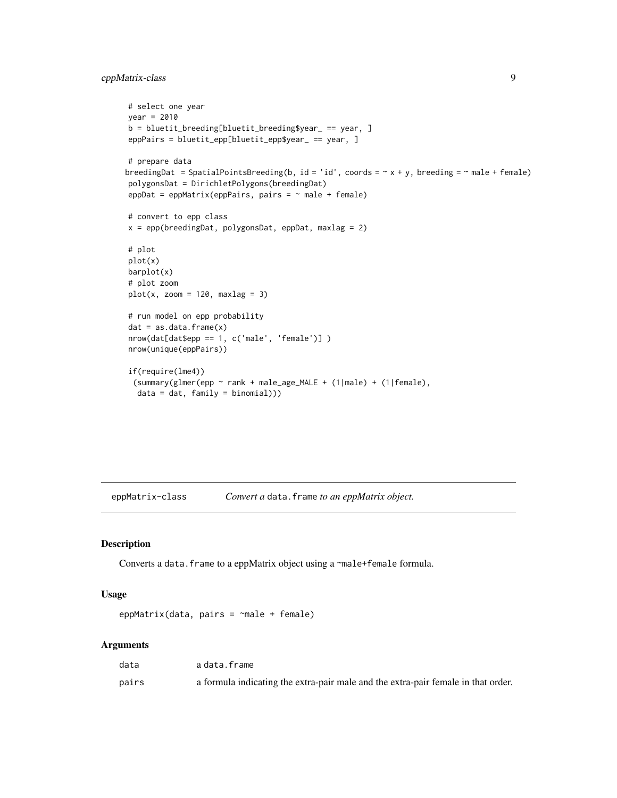#### <span id="page-8-0"></span>eppMatrix-class 9

```
# select one year
year = 2010
b = bluetit_breeding[bluetit_breeding$year_ == year, ]
eppPairs = bluetit_epp[bluetit_epp$year_ == year, ]
# prepare data
breedingDat = SpatialPointsBreeding(b, id = 'id', coords = \sim x + y, breeding = \sim male + female)
polygonsDat = DirichletPolygons(breedingDat)
eppDat = eppMatrix(eppPairs, pairs = \sim male + female)
# convert to epp class
x = epp(breedingData, polygonsData, eppData, maxlag = 2)# plot
plot(x)
barplot(x)
# plot zoom
plot(x, zoom = 120, maxlag = 3)# run model on epp probability
dat = as.data-frame(x)nrow(dat[dat$epp == 1, c('male', 'female')] )
nrow(unique(eppPairs))
if(require(lme4))
 (summary(glmer(epp ~ rank + male_age_MALE + (1|male) + (1|female),
  data = dat, family = binomial))
```
eppMatrix-class *Convert a* data.frame *to an eppMatrix object.*

#### <span id="page-8-1"></span>Description

Converts a data. frame to a eppMatrix object using a ~male+female formula.

#### Usage

```
eppMatrix(data, pairs = \negmale + female)
```
#### Arguments

| data  | a data.frame                                                                      |
|-------|-----------------------------------------------------------------------------------|
| pairs | a formula indicating the extra-pair male and the extra-pair female in that order. |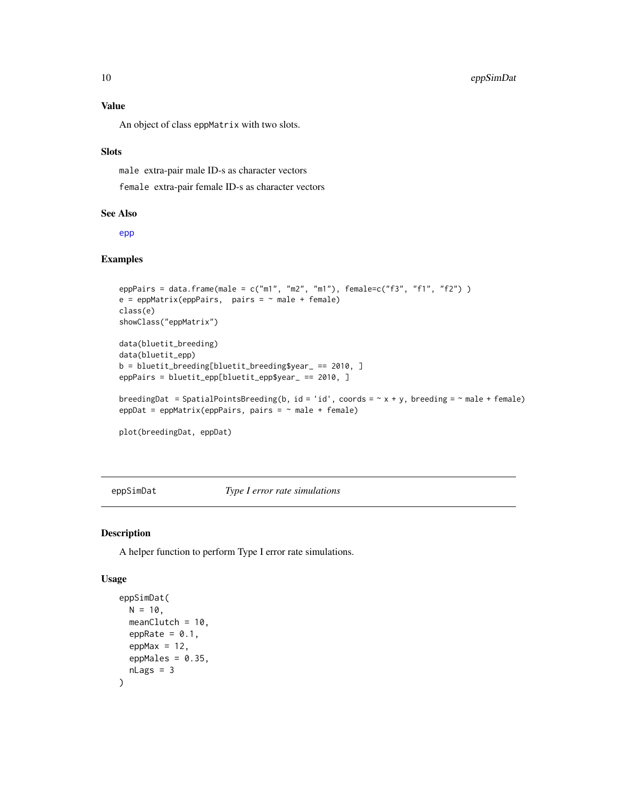#### <span id="page-9-0"></span>Value

An object of class eppMatrix with two slots.

#### **Slots**

male extra-pair male ID-s as character vectors

female extra-pair female ID-s as character vectors

#### See Also

[epp](#page-5-1)

#### Examples

```
eppPairs = data.frame(male = c("m1", "m2", "m1"), female=c("f3", "f1", "f2") )
e = epMatrix(eppPairs, pairs = ~ male + female)class(e)
showClass("eppMatrix")
data(bluetit_breeding)
data(bluetit_epp)
b = bluetit_breeding[bluetit_breeding$year_ == 2010, ]
eppPairs = bluetit_epp[bluetit_epp$year_ == 2010, ]
breedingDat = SpatialPointsBreeding(b, id = 'id', coords = \sim x + y, breeding = \sim male + female)
eppDat = eppMatrix(eppPairs, pairs = \sim male + female)
plot(breedingDat, eppDat)
```
<span id="page-9-1"></span>eppSimDat *Type I error rate simulations*

#### Description

A helper function to perform Type I error rate simulations.

#### Usage

```
eppSimDat(
 N = 10,
 meanClutch = 10.
 eppRate = 0.1,
 eppMax = 12,
 eppMales = 0.35,
 nlags = 3)
```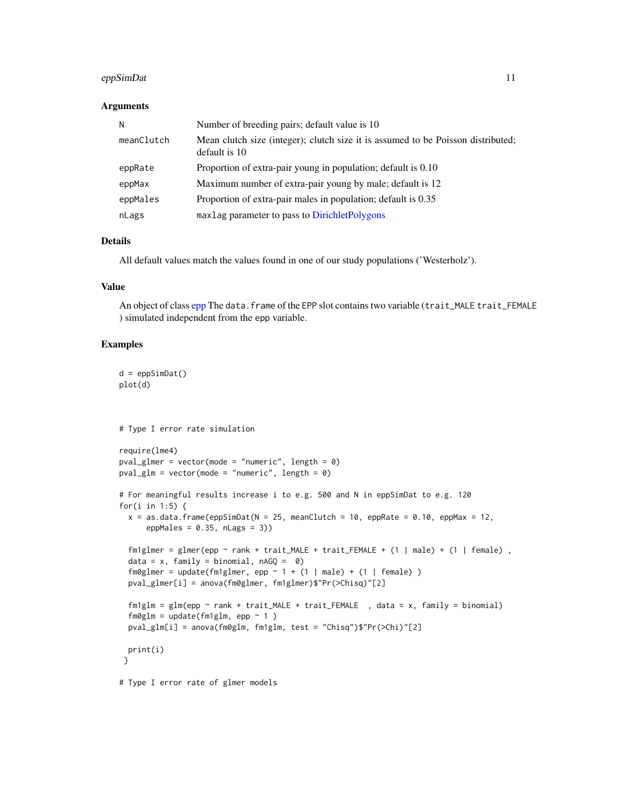#### <span id="page-10-0"></span>eppSimDat 11

#### **Arguments**

| N          | Number of breeding pairs; default value is 10                                                     |
|------------|---------------------------------------------------------------------------------------------------|
| meanClutch | Mean clutch size (integer); clutch size it is assumed to be Poisson distributed;<br>default is 10 |
| eppRate    | Proportion of extra-pair young in population; default is 0.10                                     |
| eppMax     | Maximum number of extra-pair young by male; default is 12                                         |
| eppMales   | Proportion of extra-pair males in population; default is 0.35                                     |
| nLags      | maxlag parameter to pass to DirichletPolygons                                                     |

#### Details

All default values match the values found in one of our study populations ('Westerholz').

#### Value

An object of class [epp](#page-5-1) The data. frame of the EPP slot contains two variable (trait\_MALE trait\_FEMALE ) simulated independent from the epp variable.

#### Examples

```
d = eppSimDat()
plot(d)
# Type I error rate simulation
require(lme4)
pval_glmer = vector(mode = "numeric", length = \theta)
pval_glm = vector(mode = "numeric", length = \theta)
# For meaningful results increase i to e.g. 500 and N in eppSimDat to e.g. 120
for(i in 1:5) \{x = as.data frame(eppSimData(N = 25, meanCluster = 10, epplate = 0.10, eppMax = 12,eppMales = 0.35, nLags = 3))
  fmlglmer = glmer(epp ~ nink + trait\_MALE + trait\_FEMALE + (1 | male) + (1 | female),
  data = x, family = binomial, nAGQ = 0)
  fmglmer = update(fm1glmer, epp ~ 1 + (1 | male) + (1 | female))pval_glmer[i] = anova(fm0glmer, fm1glmer)$"Pr(>Chisq)"[2]
  fmlglm = glm(epp \sim rank + trait\_MALE + trait\_FEMALE, data = x, family = binomial)
  fmglm = update(fmlglm, epp ~ 1)pval_glm[i] = anova(fm0glm, fm1glm, test = "Chisq")$"Pr(>Chi)"[2]
 print(i)
 }
# Type I error rate of glmer models
```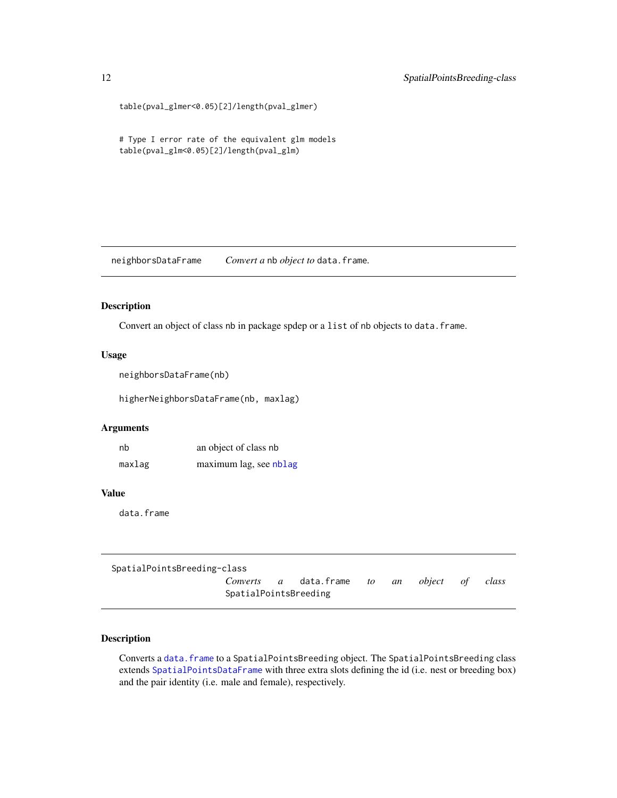```
table(pval_glmer<0.05)[2]/length(pval_glmer)
```
# Type I error rate of the equivalent glm models table(pval\_glm<0.05)[2]/length(pval\_glm)

<span id="page-11-1"></span>neighborsDataFrame *Convert a* nb *object to* data.frame*.*

#### Description

Convert an object of class nb in package spdep or a list of nb objects to data.frame.

#### Usage

```
neighborsDataFrame(nb)
```
higherNeighborsDataFrame(nb, maxlag)

#### Arguments

nb an object of class nb maxlag maximum lag, see [nblag](#page-0-0)

#### Value

data.frame

```
SpatialPointsBreeding-class
                    Converts a data.frame to an object of class
                    SpatialPointsBreeding
```
#### <span id="page-11-2"></span>Description

Converts a [data.frame](#page-0-0) to a SpatialPointsBreeding object. The SpatialPointsBreeding class extends [SpatialPointsDataFrame](#page-0-0) with three extra slots defining the id (i.e. nest or breeding box) and the pair identity (i.e. male and female), respectively.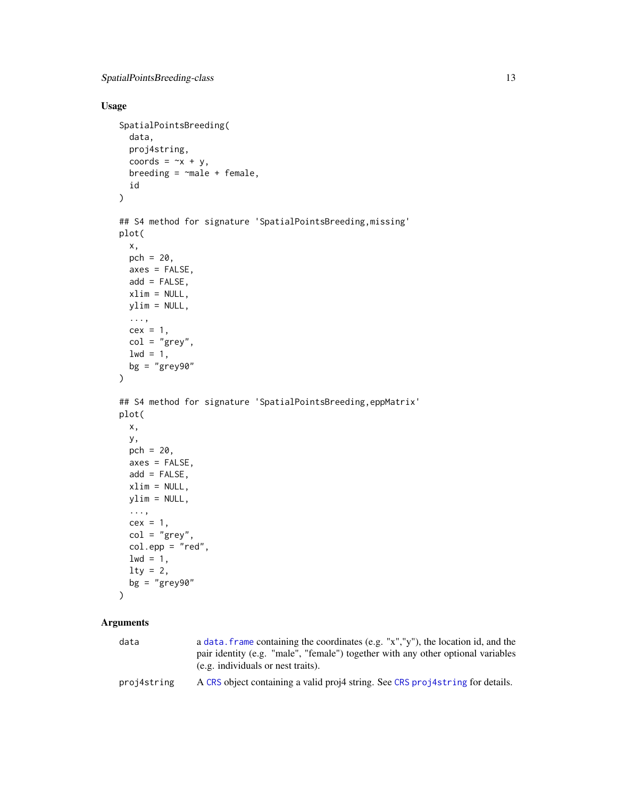#### <span id="page-12-0"></span>Usage

```
SpatialPointsBreeding(
  data,
 proj4string,
 coords = -x + y,
 breeding = \negmale + female,
 id
)
## S4 method for signature 'SpatialPointsBreeding, missing'
plot(
 x,
 pch = 20,
 axes = FALSE,add = FALSE,
 xlim = NULL,
 ylim = NULL,
  ...,
 cex = 1,
 col = "grey",1wd = 1,bg = "grey90"
)
## S4 method for signature 'SpatialPointsBreeding, eppMatrix'
plot(
 x,
 y,
 pch = 20,
 axes = FALSE,add = FALSE,xlim = NULL,ylim = NULL,
  ...,
 cex = 1,
  col = "grey",col.epp = "red",1wd = 1,lty = 2,bg = "grey90"\lambda
```
### Arguments

| data        | a data. Frame containing the coordinates (e.g. "x","y"), the location id, and the<br>pair identity (e.g. "male", "female") together with any other optional variables<br>(e.g. individuals or nest traits). |
|-------------|-------------------------------------------------------------------------------------------------------------------------------------------------------------------------------------------------------------|
| proj4string | A CRS object containing a valid proj4 string. See CRS proj4string for details.                                                                                                                              |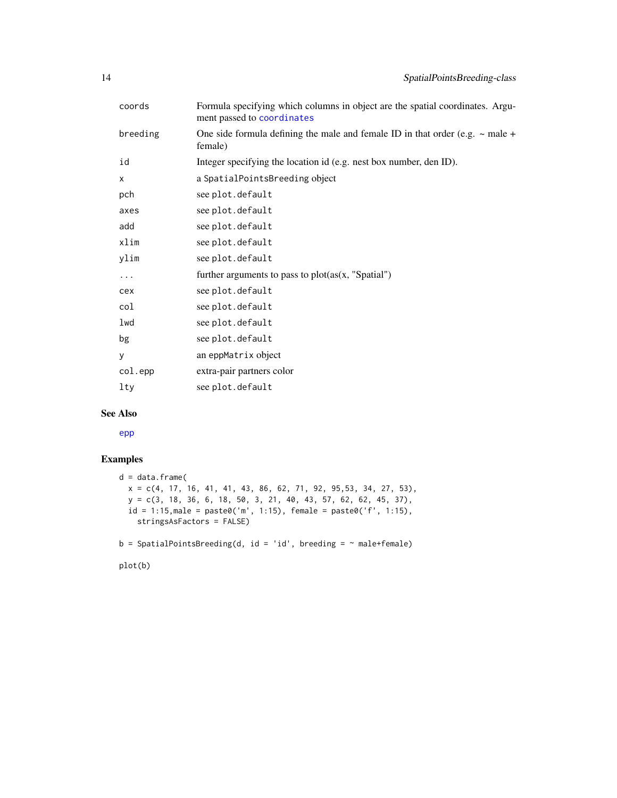<span id="page-13-0"></span>

| coords   | Formula specifying which columns in object are the spatial coordinates. Argu-<br>ment passed to coordinates |
|----------|-------------------------------------------------------------------------------------------------------------|
| breeding | One side formula defining the male and female ID in that order (e.g. $\sim$ male +<br>female)               |
| id       | Integer specifying the location id (e.g. nest box number, den ID).                                          |
| X        | a SpatialPointsBreeding object                                                                              |
| pch      | see plot.default                                                                                            |
| axes     | see plot.default                                                                                            |
| add      | see plot.default                                                                                            |
| xlim     | see plot.default                                                                                            |
| ylim     | see plot.default                                                                                            |
| .        | further arguments to pass to $plot(as(x, "Spatial")$                                                        |
| cex      | see plot.default                                                                                            |
| col      | see plot.default                                                                                            |
| lwd      | see plot.default                                                                                            |
| bg       | see plot.default                                                                                            |
| y        | an eppMatrix object                                                                                         |
| col.epp  | extra-pair partners color                                                                                   |
| lty      | see plot.default                                                                                            |
|          |                                                                                                             |

#### See Also

[epp](#page-5-1)

#### Examples

```
d = data.frame(
 x = c(4, 17, 16, 41, 41, 43, 86, 62, 71, 92, 95, 53, 34, 27, 53),y = c(3, 18, 36, 6, 18, 50, 3, 21, 40, 43, 57, 62, 62, 45, 37),id = 1:15, male = paste0('m', 1:15), female = paste0('f', 1:15),
   stringsAsFactors = FALSE)
b = SpatialPointsBreeding(d, id = 'id', breeding = "male+female)
```
plot(b)